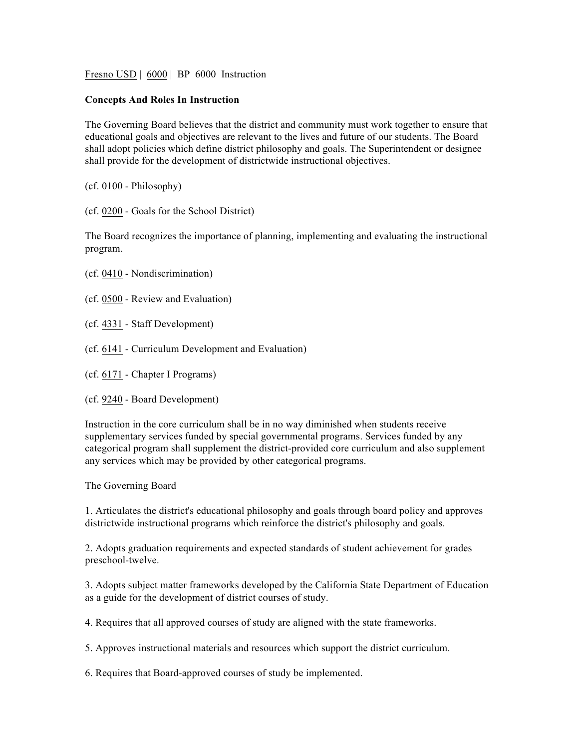Fresno USD | 6000 | BP 6000 Instruction

## **Concepts And Roles In Instruction**

The Governing Board believes that the district and community must work together to ensure that educational goals and objectives are relevant to the lives and future of our students. The Board shall adopt policies which define district philosophy and goals. The Superintendent or designee shall provide for the development of districtwide instructional objectives.

(cf. 0100 - Philosophy)

(cf. 0200 - Goals for the School District)

The Board recognizes the importance of planning, implementing and evaluating the instructional program.

- (cf. 0410 Nondiscrimination)
- (cf. 0500 Review and Evaluation)
- (cf. 4331 Staff Development)
- (cf. 6141 Curriculum Development and Evaluation)
- (cf. 6171 Chapter I Programs)
- (cf. 9240 Board Development)

Instruction in the core curriculum shall be in no way diminished when students receive supplementary services funded by special governmental programs. Services funded by any categorical program shall supplement the district-provided core curriculum and also supplement any services which may be provided by other categorical programs.

The Governing Board

1. Articulates the district's educational philosophy and goals through board policy and approves districtwide instructional programs which reinforce the district's philosophy and goals.

2. Adopts graduation requirements and expected standards of student achievement for grades preschool-twelve.

3. Adopts subject matter frameworks developed by the California State Department of Education as a guide for the development of district courses of study.

4. Requires that all approved courses of study are aligned with the state frameworks.

5. Approves instructional materials and resources which support the district curriculum.

6. Requires that Board-approved courses of study be implemented.